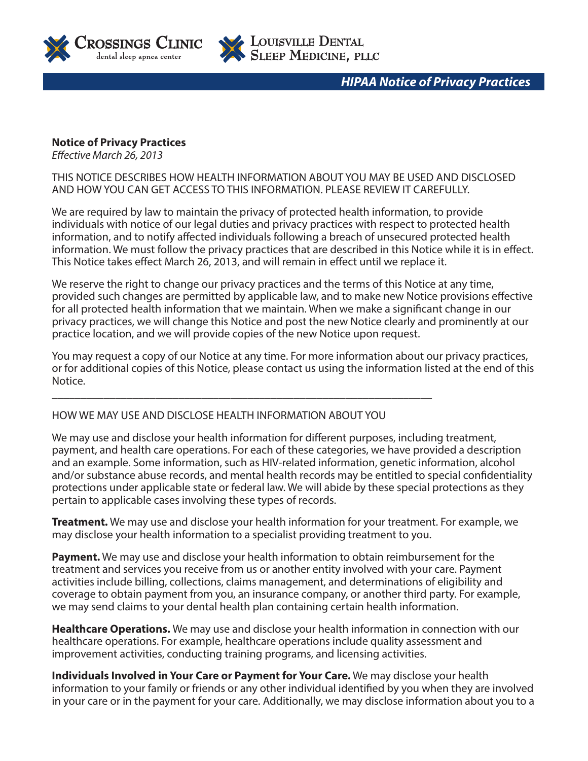



LOUISVILLE DENTAL<br>SLEEP MEDICINE, PLLC

*HIPAA Notice of Privacy Practices*

### **Notice of Privacy Practices**

*Effective March 26, 2013* 

THIS NOTICE DESCRIBES HOW HEALTH INFORMATION ABOUT YOU MAY BE USED AND DISCLOSED AND HOW YOU CAN GET ACCESS TO THIS INFORMATION. PLEASE REVIEW IT CAREFULLY.

We are required by law to maintain the privacy of protected health information, to provide individuals with notice of our legal duties and privacy practices with respect to protected health information, and to notify affected individuals following a breach of unsecured protected health information. We must follow the privacy practices that are described in this Notice while it is in effect. This Notice takes effect March 26, 2013, and will remain in effect until we replace it.

We reserve the right to change our privacy practices and the terms of this Notice at any time, provided such changes are permitted by applicable law, and to make new Notice provisions effective for all protected health information that we maintain. When we make a significant change in our privacy practices, we will change this Notice and post the new Notice clearly and prominently at our practice location, and we will provide copies of the new Notice upon request.

You may request a copy of our Notice at any time. For more information about our privacy practices, or for additional copies of this Notice, please contact us using the information listed at the end of this Notice.

#### HOW WE MAY USE AND DISCLOSE HEALTH INFORMATION ABOUT YOU

\_\_\_\_\_\_\_\_\_\_\_\_\_\_\_\_\_\_\_\_\_\_\_\_\_\_\_\_\_\_\_\_\_\_\_\_\_\_\_\_\_\_\_\_\_\_\_\_\_\_\_\_\_\_\_\_\_\_\_\_\_\_\_\_\_\_

We may use and disclose your health information for different purposes, including treatment, payment, and health care operations. For each of these categories, we have provided a description and an example. Some information, such as HIV-related information, genetic information, alcohol and/or substance abuse records, and mental health records may be entitled to special confidentiality protections under applicable state or federal law. We will abide by these special protections as they pertain to applicable cases involving these types of records.

**Treatment.** We may use and disclose your health information for your treatment. For example, we may disclose your health information to a specialist providing treatment to you.

**Payment.** We may use and disclose your health information to obtain reimbursement for the treatment and services you receive from us or another entity involved with your care. Payment activities include billing, collections, claims management, and determinations of eligibility and coverage to obtain payment from you, an insurance company, or another third party. For example, we may send claims to your dental health plan containing certain health information.

**Healthcare Operations.** We may use and disclose your health information in connection with our healthcare operations. For example, healthcare operations include quality assessment and improvement activities, conducting training programs, and licensing activities.

**Individuals Involved in Your Care or Payment for Your Care.** We may disclose your health information to your family or friends or any other individual identified by you when they are involved in your care or in the payment for your care. Additionally, we may disclose information about you to a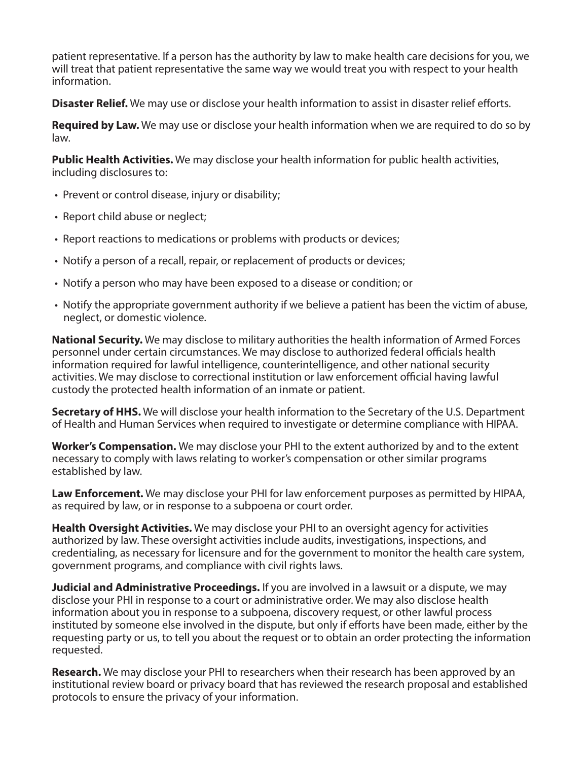patient representative. If a person has the authority by law to make health care decisions for you, we will treat that patient representative the same way we would treat you with respect to your health information.

**Disaster Relief.** We may use or disclose your health information to assist in disaster relief efforts.

**Required by Law.** We may use or disclose your health information when we are required to do so by law.

**Public Health Activities.** We may disclose your health information for public health activities, including disclosures to:

- Prevent or control disease, injury or disability;
- Report child abuse or neglect;
- Report reactions to medications or problems with products or devices;
- Notify a person of a recall, repair, or replacement of products or devices;
- Notify a person who may have been exposed to a disease or condition; or
- Notify the appropriate government authority if we believe a patient has been the victim of abuse, neglect, or domestic violence.

**National Security.** We may disclose to military authorities the health information of Armed Forces personnel under certain circumstances. We may disclose to authorized federal officials health information required for lawful intelligence, counterintelligence, and other national security activities. We may disclose to correctional institution or law enforcement official having lawful custody the protected health information of an inmate or patient.

**Secretary of HHS.** We will disclose your health information to the Secretary of the U.S. Department of Health and Human Services when required to investigate or determine compliance with HIPAA.

**Worker's Compensation.** We may disclose your PHI to the extent authorized by and to the extent necessary to comply with laws relating to worker's compensation or other similar programs established by law.

**Law Enforcement.** We may disclose your PHI for law enforcement purposes as permitted by HIPAA, as required by law, or in response to a subpoena or court order.

**Health Oversight Activities.** We may disclose your PHI to an oversight agency for activities authorized by law. These oversight activities include audits, investigations, inspections, and credentialing, as necessary for licensure and for the government to monitor the health care system, government programs, and compliance with civil rights laws.

**Judicial and Administrative Proceedings.** If you are involved in a lawsuit or a dispute, we may disclose your PHI in response to a court or administrative order. We may also disclose health information about you in response to a subpoena, discovery request, or other lawful process instituted by someone else involved in the dispute, but only if efforts have been made, either by the requesting party or us, to tell you about the request or to obtain an order protecting the information requested.

**Research.** We may disclose your PHI to researchers when their research has been approved by an institutional review board or privacy board that has reviewed the research proposal and established protocols to ensure the privacy of your information.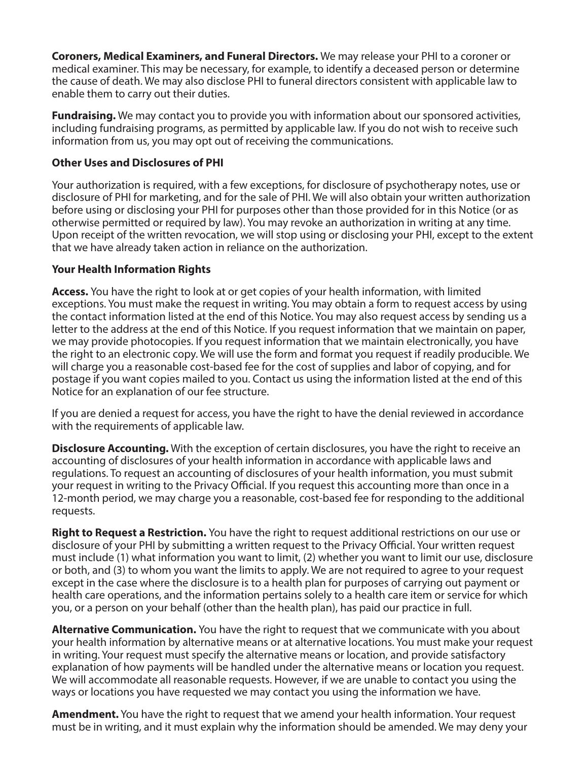**Coroners, Medical Examiners, and Funeral Directors.** We may release your PHI to a coroner or medical examiner. This may be necessary, for example, to identify a deceased person or determine the cause of death. We may also disclose PHI to funeral directors consistent with applicable law to enable them to carry out their duties.

**Fundraising.** We may contact you to provide you with information about our sponsored activities, including fundraising programs, as permitted by applicable law. If you do not wish to receive such information from us, you may opt out of receiving the communications.

# **Other Uses and Disclosures of PHI**

Your authorization is required, with a few exceptions, for disclosure of psychotherapy notes, use or disclosure of PHI for marketing, and for the sale of PHI. We will also obtain your written authorization before using or disclosing your PHI for purposes other than those provided for in this Notice (or as otherwise permitted or required by law). You may revoke an authorization in writing at any time. Upon receipt of the written revocation, we will stop using or disclosing your PHI, except to the extent that we have already taken action in reliance on the authorization.

# **Your Health Information Rights**

**Access.** You have the right to look at or get copies of your health information, with limited exceptions. You must make the request in writing. You may obtain a form to request access by using the contact information listed at the end of this Notice. You may also request access by sending us a letter to the address at the end of this Notice. If you request information that we maintain on paper, we may provide photocopies. If you request information that we maintain electronically, you have the right to an electronic copy. We will use the form and format you request if readily producible. We will charge you a reasonable cost-based fee for the cost of supplies and labor of copying, and for postage if you want copies mailed to you. Contact us using the information listed at the end of this Notice for an explanation of our fee structure.

If you are denied a request for access, you have the right to have the denial reviewed in accordance with the requirements of applicable law.

**Disclosure Accounting.** With the exception of certain disclosures, you have the right to receive an accounting of disclosures of your health information in accordance with applicable laws and regulations. To request an accounting of disclosures of your health information, you must submit your request in writing to the Privacy Official. If you request this accounting more than once in a 12-month period, we may charge you a reasonable, cost-based fee for responding to the additional requests.

**Right to Request a Restriction.** You have the right to request additional restrictions on our use or disclosure of your PHI by submitting a written request to the Privacy Official. Your written request must include (1) what information you want to limit, (2) whether you want to limit our use, disclosure or both, and (3) to whom you want the limits to apply. We are not required to agree to your request except in the case where the disclosure is to a health plan for purposes of carrying out payment or health care operations, and the information pertains solely to a health care item or service for which you, or a person on your behalf (other than the health plan), has paid our practice in full.

**Alternative Communication.** You have the right to request that we communicate with you about your health information by alternative means or at alternative locations. You must make your request in writing. Your request must specify the alternative means or location, and provide satisfactory explanation of how payments will be handled under the alternative means or location you request. We will accommodate all reasonable requests. However, if we are unable to contact you using the ways or locations you have requested we may contact you using the information we have.

**Amendment.** You have the right to request that we amend your health information. Your request must be in writing, and it must explain why the information should be amended. We may deny your